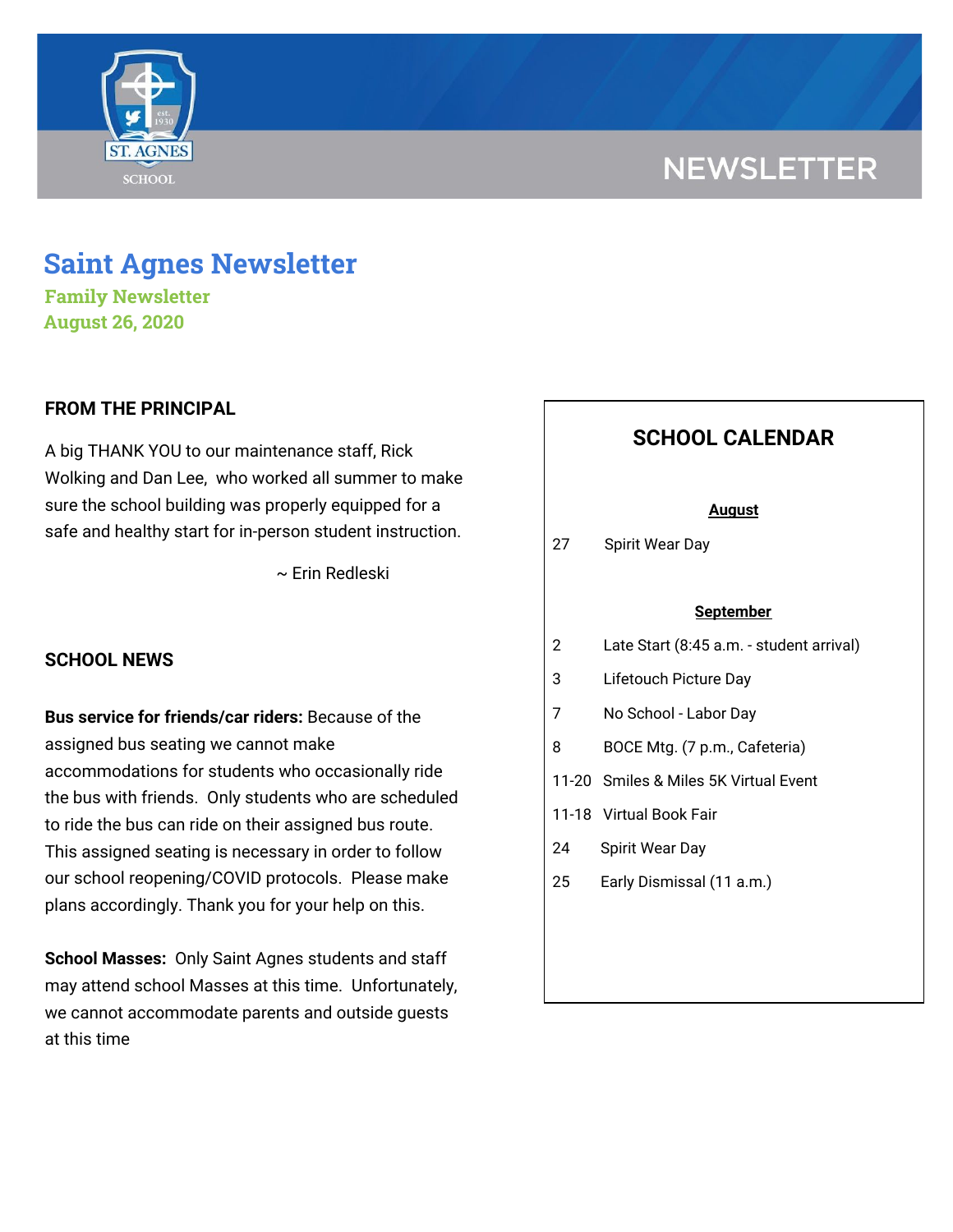

# **NEWSLETTER**

## **Saint Agnes Newsletter**

**Family Newsletter August 26, 2020**

## **FROM THE PRINCIPAL**

A big THANK YOU to our maintenance staff, Rick Wolking and Dan Lee, who worked all summer to make sure the school building was properly equipped for a safe and healthy start for in-person student instruction.

~ Erin Redleski

## **SCHOOL NEWS**

**Bus service for friends/car riders:** Because of the assigned bus seating we cannot make accommodations for students who occasionally ride the bus with friends. Only students who are scheduled to ride the bus can ride on their assigned bus route. This assigned seating is necessary in order to follow our school reopening/COVID protocols. Please make plans accordingly. Thank you for your help on this.

**School Masses:** Only Saint Agnes students and staff may attend school Masses at this time. Unfortunately, we cannot accommodate parents and outside guests at this time

## **SCHOOL CALENDAR**

#### **August**

27 Spirit Wear Day

#### **September**

- 2 Late Start (8:45 a.m. student arrival)
- 3 Lifetouch Picture Day
- 7 No School Labor Day
- 8 BOCE Mtg. (7 p.m., Cafeteria)
- 11-20 Smiles & Miles 5K Virtual Event
- 11-18 Virtual Book Fair
- 24 Spirit Wear Day
- 25 Early Dismissal (11 a.m.)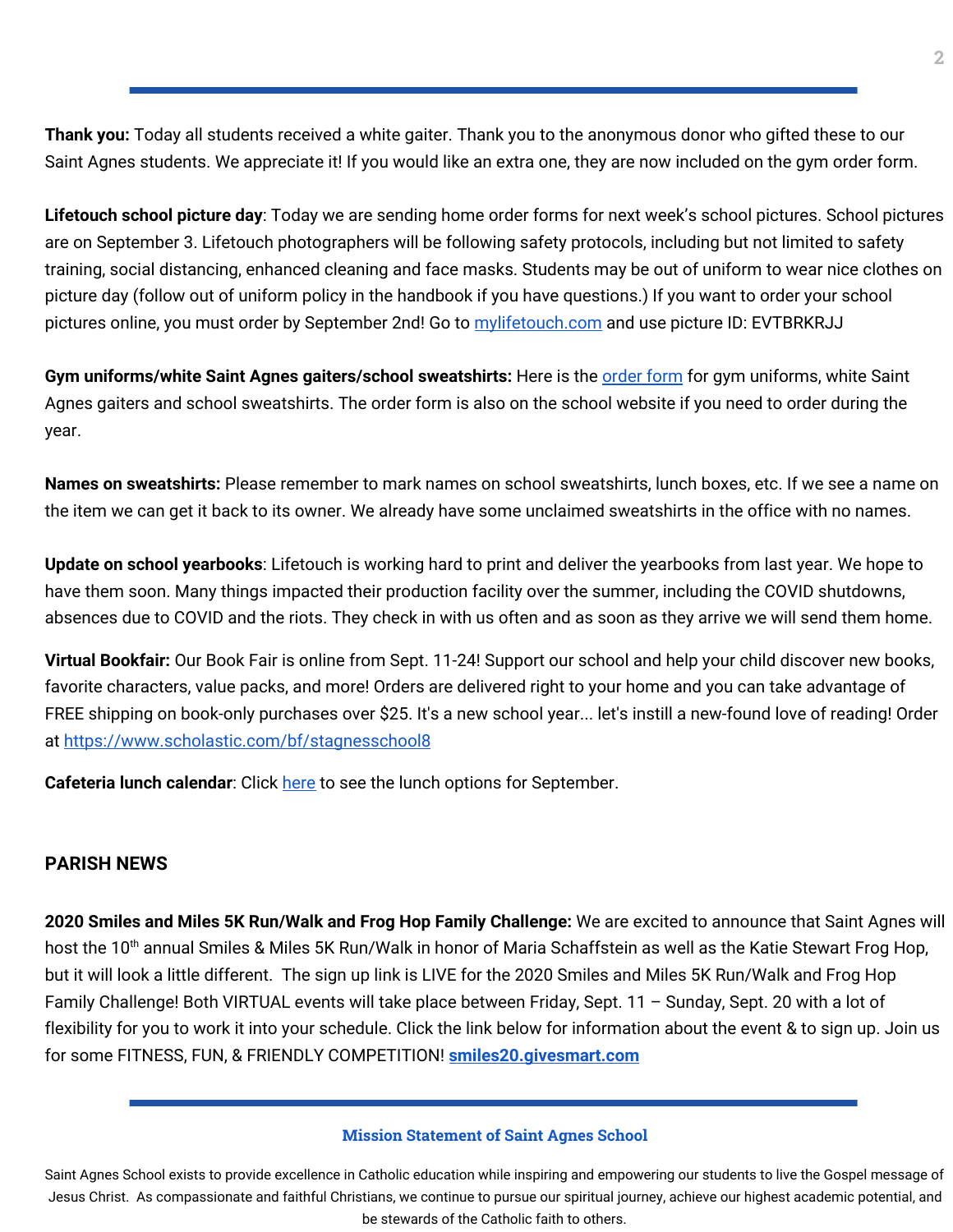**Thank you:** Today all students received a white gaiter. Thank you to the anonymous donor who gifted these to our Saint Agnes students. We appreciate it! If you would like an extra one, they are now included on the gym order form.

**Lifetouch school picture day**: Today we are sending home order forms for next week's school pictures. School pictures are on September 3. Lifetouch photographers will be following safety protocols, including but not limited to safety training, social distancing, enhanced cleaning and face masks. Students may be out of uniform to wear nice clothes on picture day (follow out of uniform policy in the handbook if you have questions.) If you want to order your school pictures online, you must order by September 2nd! Go to [mylifetouch.com](https://www.mylifetouch.com/) and use picture ID: EVTBRKRJJ

**Gym uniforms/white Saint Agnes gaiters/school sweatshirts:** Here is the [order](https://school.saintagnes.com/wp-content/uploads/2020/08/Gym-Uniform-Sweatshirt-Gaiter-Order-Form-2020.pdf) form for gym uniforms, white Saint Agnes gaiters and school sweatshirts. The order form is also on the school website if you need to order during the year.

**Names on sweatshirts:** Please remember to mark names on school sweatshirts, lunch boxes, etc. If we see a name on the item we can get it back to its owner. We already have some unclaimed sweatshirts in the office with no names.

**Update on school yearbooks**: Lifetouch is working hard to print and deliver the yearbooks from last year. We hope to have them soon. Many things impacted their production facility over the summer, including the COVID shutdowns, absences due to COVID and the riots. They check in with us often and as soon as they arrive we will send them home.

**Virtual Bookfair:** Our Book Fair is online from Sept. 11-24! Support our school and help your child discover new books, favorite characters, value packs, and more! Orders are delivered right to your home and you can take advantage of FREE shipping on book-only purchases over \$25. It's a new school year... let's instill a new-found love of reading! Order at <https://www.scholastic.com/bf/stagnesschool8>

**Cafeteria lunch calendar:** Click [here](https://school.saintagnes.com/wp-content/uploads/2020/08/2020-2021-Sept-ES-Menu.pdf) to see the lunch options for September.

## **PARISH NEWS**

**2020 Smiles and Miles 5K Run/Walk and Frog Hop Family Challenge:** We are excited to announce that Saint Agnes will host the 10<sup>th</sup> annual Smiles & Miles 5K Run/Walk in honor of Maria Schaffstein as well as the Katie Stewart Frog Hop, but it will look a little different. The sign up link is LIVE for the 2020 Smiles and Miles 5K Run/Walk and Frog Hop Family Challenge! Both VIRTUAL events will take place between Friday, Sept. 11 – Sunday, Sept. 20 with a lot of flexibility for you to work it into your schedule. Click the link below for information about the event & to sign up. Join us for some FITNESS, FUN, & FRIENDLY COMPETITION! **[smiles20.givesmart.com](https://l.facebook.com/l.php?u=http%3A%2F%2Fsmiles20.givesmart.com%2F%3Ffbclid%3DIwAR0BNF_Ph9vvqu8nj8qXiE25_KlwCBQ-AsIirw2D_MJzpKNjNRBb_l7JGHY&h=AT1c3cI-YE6FMM-8cLnAYBW7dMGnnGqZ5Wm2RBxMOYbY90XqMtCk-NFs9z7h5yg5yfPz-5T9lIyiXhW2BSPtZ9QesXCtHDSIcowZ0yh0wNCt1f80qxBoL3JXb0mkDgx2RAKz&__tn__=-UK-R&c[0]=AT3KtYJxVm-8VrfAtfrsRHAKnM_StFhzIxBdgB8fRS4Jn9B0udzdDi-4h2rf8zI1GIXnLsXAk8D295-Rv_OEPwGgofBWqaKe-LlvNU6W3EqDWYwn6hX4Mm8mNRocstF_3-LlUsyhlN3kFNygKN2_tgdqgB1qHMCViuXBMJXfG2p8dogoW5oegg)**

#### **Mission Statement of Saint Agnes School**

Saint Agnes School exists to provide excellence in Catholic education while inspiring and empowering our students to live the Gospel message of Jesus Christ. As compassionate and faithful Christians, we continue to pursue our spiritual journey, achieve our highest academic potential, and be stewards of the Catholic faith to others.